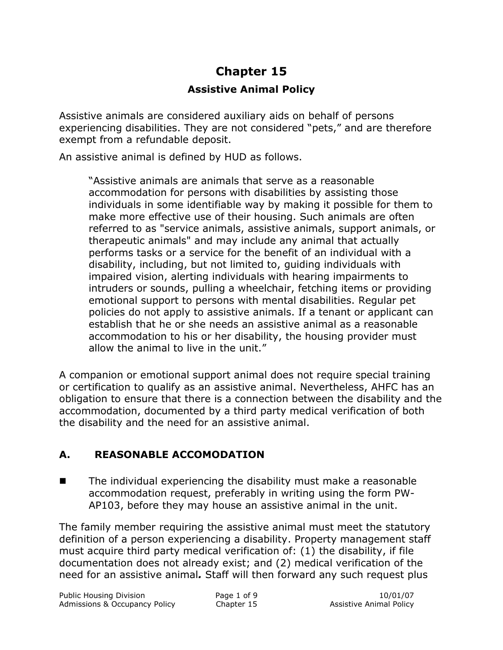# **Chapter 15 Assistive Animal Policy**

Assistive animals are considered auxiliary aids on behalf of persons experiencing disabilities. They are not considered "pets," and are therefore exempt from a refundable deposit.

An assistive animal is defined by HUD as follows.

"Assistive animals are animals that serve as a reasonable accommodation for persons with disabilities by assisting those individuals in some identifiable way by making it possible for them to make more effective use of their housing. Such animals are often referred to as "service animals, assistive animals, support animals, or therapeutic animals" and may include any animal that actually performs tasks or a service for the benefit of an individual with a disability, including, but not limited to, guiding individuals with impaired vision, alerting individuals with hearing impairments to intruders or sounds, pulling a wheelchair, fetching items or providing emotional support to persons with mental disabilities. Regular pet policies do not apply to assistive animals. If a tenant or applicant can establish that he or she needs an assistive animal as a reasonable accommodation to his or her disability, the housing provider must allow the animal to live in the unit."

A companion or emotional support animal does not require special training or certification to qualify as an assistive animal. Nevertheless, AHFC has an obligation to ensure that there is a connection between the disability and the accommodation, documented by a third party medical verification of both the disability and the need for an assistive animal.

## **A. REASONABLE ACCOMODATION**

 $\blacksquare$  The individual experiencing the disability must make a reasonable accommodation request, preferably in writing using the form PW-AP103, before they may house an assistive animal in the unit.

The family member requiring the assistive animal must meet the statutory definition of a person experiencing a disability. Property management staff must acquire third party medical verification of: (1) the disability, if file documentation does not already exist; and (2) medical verification of the need for an assistive animal*.* Staff will then forward any such request plus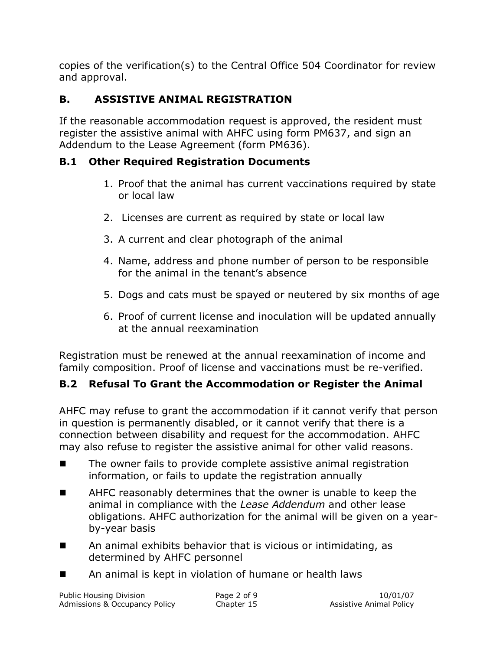copies of the verification(s) to the Central Office 504 Coordinator for review and approval.

# **B. ASSISTIVE ANIMAL REGISTRATION**

If the reasonable accommodation request is approved, the resident must register the assistive animal with AHFC using form PM637, and sign an Addendum to the Lease Agreement (form PM636).

# **B.1 Other Required Registration Documents**

- 1. Proof that the animal has current vaccinations required by state or local law
- 2. Licenses are current as required by state or local law
- 3. A current and clear photograph of the animal
- 4. Name, address and phone number of person to be responsible for the animal in the tenant's absence
- 5. Dogs and cats must be spayed or neutered by six months of age
- 6. Proof of current license and inoculation will be updated annually at the annual reexamination

Registration must be renewed at the annual reexamination of income and family composition. Proof of license and vaccinations must be re-verified.

# **B.2 Refusal To Grant the Accommodation or Register the Animal**

AHFC may refuse to grant the accommodation if it cannot verify that person in question is permanently disabled, or it cannot verify that there is a connection between disability and request for the accommodation. AHFC may also refuse to register the assistive animal for other valid reasons.

- The owner fails to provide complete assistive animal registration information, or fails to update the registration annually
- AHFC reasonably determines that the owner is unable to keep the animal in compliance with the *Lease Addendum* and other lease obligations. AHFC authorization for the animal will be given on a yearby-year basis
- An animal exhibits behavior that is vicious or intimidating, as determined by AHFC personnel
- An animal is kept in violation of humane or health laws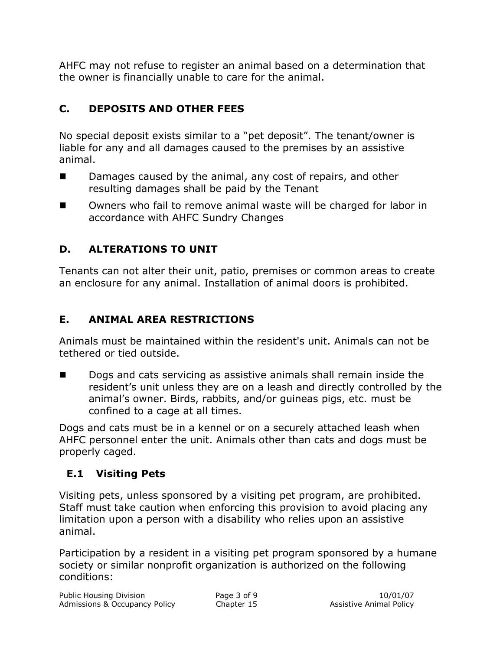AHFC may not refuse to register an animal based on a determination that the owner is financially unable to care for the animal.

# **C. DEPOSITS AND OTHER FEES**

No special deposit exists similar to a "pet deposit". The tenant/owner is liable for any and all damages caused to the premises by an assistive animal.

- Damages caused by the animal, any cost of repairs, and other resulting damages shall be paid by the Tenant
- Owners who fail to remove animal waste will be charged for labor in accordance with AHFC Sundry Changes

# **D. ALTERATIONS TO UNIT**

Tenants can not alter their unit, patio, premises or common areas to create an enclosure for any animal. Installation of animal doors is prohibited.

## **E. ANIMAL AREA RESTRICTIONS**

Animals must be maintained within the resident's unit. Animals can not be tethered or tied outside.

 Dogs and cats servicing as assistive animals shall remain inside the resident's unit unless they are on a leash and directly controlled by the animal's owner. Birds, rabbits, and/or guineas pigs, etc. must be confined to a cage at all times.

Dogs and cats must be in a kennel or on a securely attached leash when AHFC personnel enter the unit. Animals other than cats and dogs must be properly caged.

## **E.1 Visiting Pets**

Visiting pets, unless sponsored by a visiting pet program, are prohibited. Staff must take caution when enforcing this provision to avoid placing any limitation upon a person with a disability who relies upon an assistive animal.

Participation by a resident in a visiting pet program sponsored by a humane society or similar nonprofit organization is authorized on the following conditions: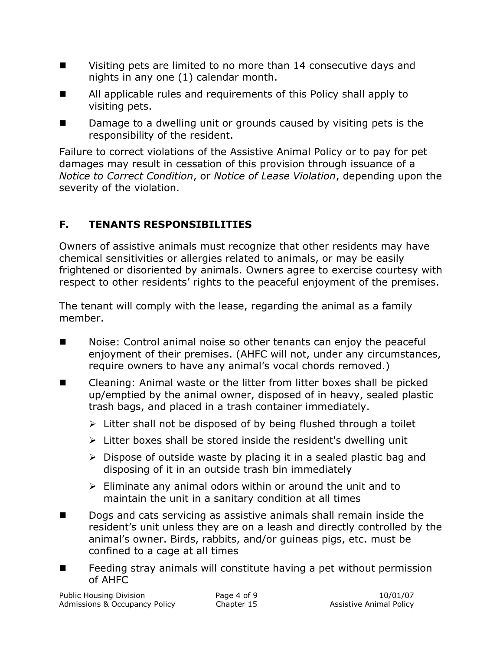- Visiting pets are limited to no more than 14 consecutive days and nights in any one (1) calendar month.
- All applicable rules and requirements of this Policy shall apply to visiting pets.
- Damage to a dwelling unit or grounds caused by visiting pets is the responsibility of the resident.

Failure to correct violations of the Assistive Animal Policy or to pay for pet damages may result in cessation of this provision through issuance of a *Notice to Correct Condition*, or *Notice of Lease Violation*, depending upon the severity of the violation.

# **F. TENANTS RESPONSIBILITIES**

Owners of assistive animals must recognize that other residents may have chemical sensitivities or allergies related to animals, or may be easily frightened or disoriented by animals. Owners agree to exercise courtesy with respect to other residents' rights to the peaceful enjoyment of the premises.

The tenant will comply with the lease, regarding the animal as a family member.

- Moise: Control animal noise so other tenants can enjoy the peaceful enjoyment of their premises. (AHFC will not, under any circumstances, require owners to have any animal's vocal chords removed.)
- Cleaning: Animal waste or the litter from litter boxes shall be picked up/emptied by the animal owner, disposed of in heavy, sealed plastic trash bags, and placed in a trash container immediately.
	- $\triangleright$  Litter shall not be disposed of by being flushed through a toilet
	- $\triangleright$  Litter boxes shall be stored inside the resident's dwelling unit
	- $\triangleright$  Dispose of outside waste by placing it in a sealed plastic bag and disposing of it in an outside trash bin immediately
	- $\triangleright$  Eliminate any animal odors within or around the unit and to maintain the unit in a sanitary condition at all times
- Dogs and cats servicing as assistive animals shall remain inside the resident's unit unless they are on a leash and directly controlled by the animal's owner. Birds, rabbits, and/or guineas pigs, etc. must be confined to a cage at all times
- **Feeding stray animals will constitute having a pet without permission** of AHFC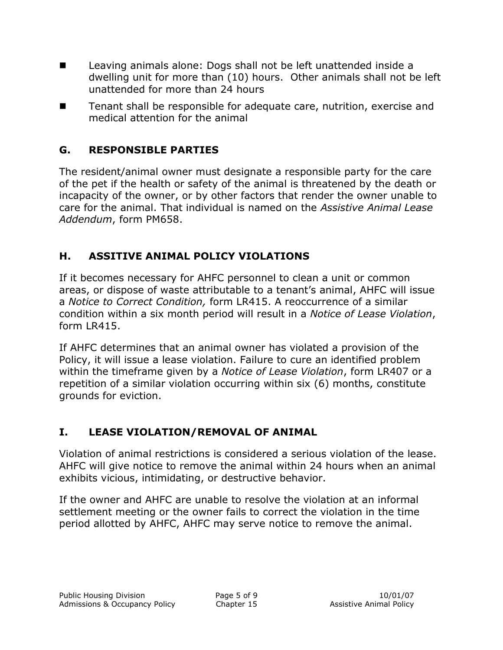- **Leaving animals alone: Dogs shall not be left unattended inside a** dwelling unit for more than (10) hours. Other animals shall not be left unattended for more than 24 hours
- Tenant shall be responsible for adequate care, nutrition, exercise and medical attention for the animal

#### **G. RESPONSIBLE PARTIES**

The resident/animal owner must designate a responsible party for the care of the pet if the health or safety of the animal is threatened by the death or incapacity of the owner, or by other factors that render the owner unable to care for the animal. That individual is named on the *Assistive Animal Lease Addendum*, form PM658.

## **H. ASSITIVE ANIMAL POLICY VIOLATIONS**

If it becomes necessary for AHFC personnel to clean a unit or common areas, or dispose of waste attributable to a tenant's animal, AHFC will issue a *Notice to Correct Condition,* form LR415. A reoccurrence of a similar condition within a six month period will result in a *Notice of Lease Violation*, form LR415.

If AHFC determines that an animal owner has violated a provision of the Policy, it will issue a lease violation. Failure to cure an identified problem within the timeframe given by a *Notice of Lease Violation*, form LR407 or a repetition of a similar violation occurring within six (6) months, constitute grounds for eviction.

# **I. LEASE VIOLATION/REMOVAL OF ANIMAL**

Violation of animal restrictions is considered a serious violation of the lease. AHFC will give notice to remove the animal within 24 hours when an animal exhibits vicious, intimidating, or destructive behavior.

If the owner and AHFC are unable to resolve the violation at an informal settlement meeting or the owner fails to correct the violation in the time period allotted by AHFC, AHFC may serve notice to remove the animal.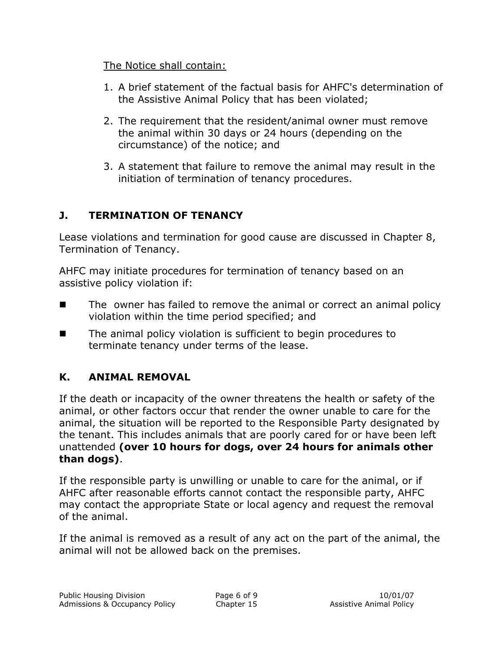#### The Notice shall contain:

- 1. A brief statement of the factual basis for AHFC's determination of the Assistive Animal Policy that has been violated;
- 2. The requirement that the resident/animal owner must remove the animal within 30 days or 24 hours (depending on the circumstance) of the notice; and
- 3. A statement that failure to remove the animal may result in the initiation of termination of tenancy procedures.

# **J. TERMINATION OF TENANCY**

Lease violations and termination for good cause are discussed in Chapter 8, Termination of Tenancy.

AHFC may initiate procedures for termination of tenancy based on an assistive policy violation if:

- **The owner has failed to remove the animal or correct an animal policy** violation within the time period specified; and
- **The animal policy violation is sufficient to begin procedures to** terminate tenancy under terms of the lease.

## **K. ANIMAL REMOVAL**

If the death or incapacity of the owner threatens the health or safety of the animal, or other factors occur that render the owner unable to care for the animal, the situation will be reported to the Responsible Party designated by the tenant. This includes animals that are poorly cared for or have been left unattended **(over 10 hours for dogs, over 24 hours for animals other than dogs)**.

If the responsible party is unwilling or unable to care for the animal, or if AHFC after reasonable efforts cannot contact the responsible party, AHFC may contact the appropriate State or local agency and request the removal of the animal.

If the animal is removed as a result of any act on the part of the animal, the animal will not be allowed back on the premises.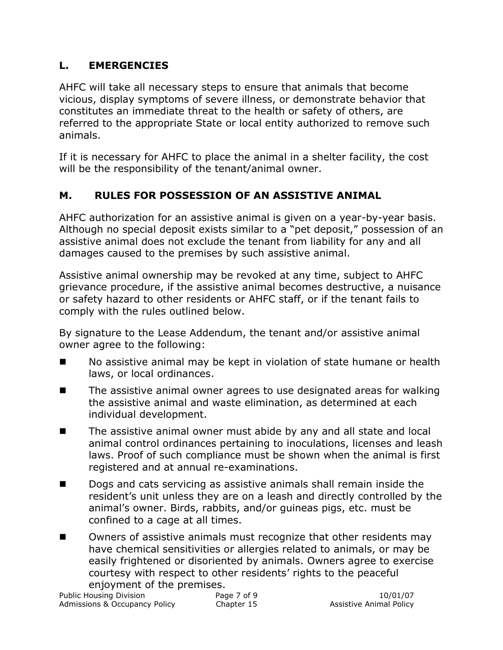# **L. EMERGENCIES**

AHFC will take all necessary steps to ensure that animals that become vicious, display symptoms of severe illness, or demonstrate behavior that constitutes an immediate threat to the health or safety of others, are referred to the appropriate State or local entity authorized to remove such animals.

If it is necessary for AHFC to place the animal in a shelter facility, the cost will be the responsibility of the tenant/animal owner.

## **M. RULES FOR POSSESSION OF AN ASSISTIVE ANIMAL**

AHFC authorization for an assistive animal is given on a year-by-year basis. Although no special deposit exists similar to a "pet deposit," possession of an assistive animal does not exclude the tenant from liability for any and all damages caused to the premises by such assistive animal.

Assistive animal ownership may be revoked at any time, subject to AHFC grievance procedure, if the assistive animal becomes destructive, a nuisance or safety hazard to other residents or AHFC staff, or if the tenant fails to comply with the rules outlined below.

By signature to the Lease Addendum, the tenant and/or assistive animal owner agree to the following:

- No assistive animal may be kept in violation of state humane or health laws, or local ordinances.
- $\blacksquare$  The assistive animal owner agrees to use designated areas for walking the assistive animal and waste elimination, as determined at each individual development.
- The assistive animal owner must abide by any and all state and local animal control ordinances pertaining to inoculations, licenses and leash laws. Proof of such compliance must be shown when the animal is first registered and at annual re-examinations.
- Dogs and cats servicing as assistive animals shall remain inside the resident's unit unless they are on a leash and directly controlled by the animal's owner. Birds, rabbits, and/or guineas pigs, etc. must be confined to a cage at all times.
- Owners of assistive animals must recognize that other residents may have chemical sensitivities or allergies related to animals, or may be easily frightened or disoriented by animals. Owners agree to exercise courtesy with respect to other residents' rights to the peaceful enjoyment of the premises.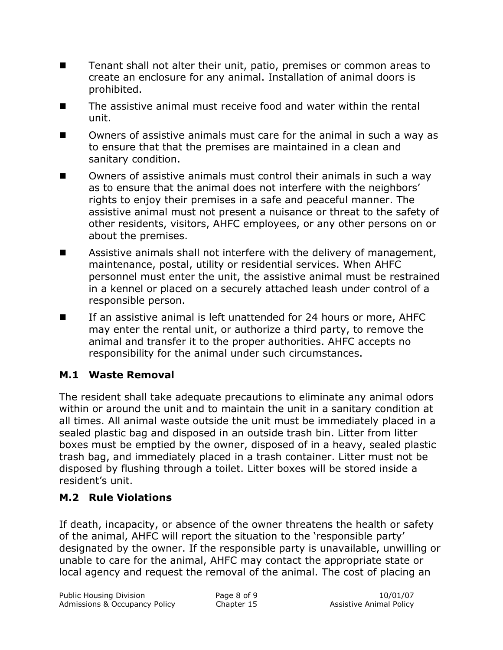- **Tenant shall not alter their unit, patio, premises or common areas to** create an enclosure for any animal. Installation of animal doors is prohibited.
- The assistive animal must receive food and water within the rental unit.
- Owners of assistive animals must care for the animal in such a way as to ensure that that the premises are maintained in a clean and sanitary condition.
- Owners of assistive animals must control their animals in such a way as to ensure that the animal does not interfere with the neighbors' rights to enjoy their premises in a safe and peaceful manner. The assistive animal must not present a nuisance or threat to the safety of other residents, visitors, AHFC employees, or any other persons on or about the premises.
- **Assistive animals shall not interfere with the delivery of management,** maintenance, postal, utility or residential services. When AHFC personnel must enter the unit, the assistive animal must be restrained in a kennel or placed on a securely attached leash under control of a responsible person.
- If an assistive animal is left unattended for 24 hours or more, AHFC may enter the rental unit, or authorize a third party, to remove the animal and transfer it to the proper authorities. AHFC accepts no responsibility for the animal under such circumstances.

#### **M.1 Waste Removal**

The resident shall take adequate precautions to eliminate any animal odors within or around the unit and to maintain the unit in a sanitary condition at all times. All animal waste outside the unit must be immediately placed in a sealed plastic bag and disposed in an outside trash bin. Litter from litter boxes must be emptied by the owner, disposed of in a heavy, sealed plastic trash bag, and immediately placed in a trash container. Litter must not be disposed by flushing through a toilet. Litter boxes will be stored inside a resident's unit.

#### **M.2 Rule Violations**

If death, incapacity, or absence of the owner threatens the health or safety of the animal, AHFC will report the situation to the 'responsible party' designated by the owner. If the responsible party is unavailable, unwilling or unable to care for the animal, AHFC may contact the appropriate state or local agency and request the removal of the animal. The cost of placing an